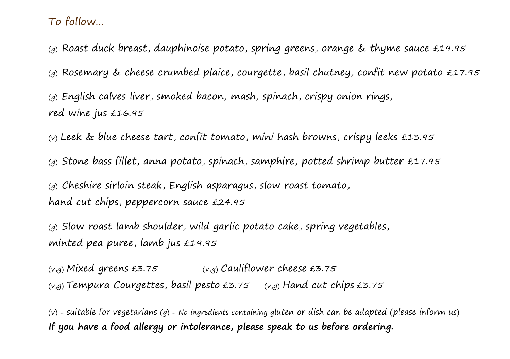To follow…

(g) Roast duck breast, dauphinoise potato, spring greens, orange & thyme sauce £19.95

(g) Rosemary & cheese crumbed plaice, courgette, basil chutney, confit new potato £17.95

(g) English calves liver, smoked bacon, mash, spinach, crispy onion rings, red wine jus £16.95

(v) Leek & blue cheese tart, confit tomato, mini hash browns, crispy leeks £13.95

(g) Stone bass fillet, anna potato, spinach, samphire, potted shrimp butter £17.95

(g) Cheshire sirloin steak, English asparagus, slow roast tomato, hand cut chips, peppercorn sauce £24.95

(g) Slow roast lamb shoulder, wild garlic potato cake, spring vegetables, minted pea puree, lamb jus £19.95

 $(v,q)$  Mixed greens £3.75  $(v,q)$  Cauliflower cheese £3.75  $(v,q)$  Tempura Courgettes, basil pesto £3.75  $(v,q)$  Hand cut chips £3.75

(v) – suitable for vegetarians (g) – No ingredients containing gluten or dish can be adapted (please inform us) **If you have a food allergy or intolerance, please speak to us before ordering.**